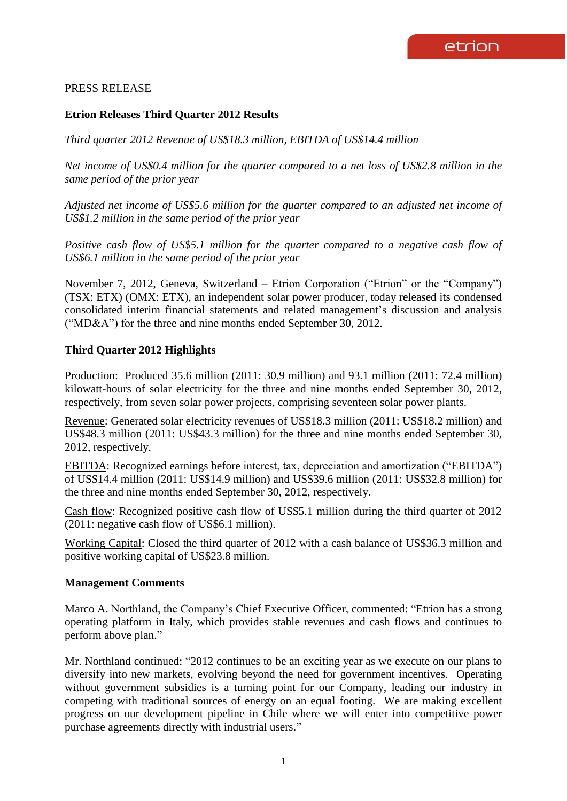# PRESS RELEASE

## **Etrion Releases Third Quarter 2012 Results**

*Third quarter 2012 Revenue of US\$18.3 million, EBITDA of US\$14.4 million* 

*Net income of US\$0.4 million for the quarter compared to a net loss of US\$2.8 million in the same period of the prior year*

*Adjusted net income of US\$5.6 million for the quarter compared to an adjusted net income of US\$1.2 million in the same period of the prior year*

*Positive cash flow of US\$5.1 million for the quarter compared to a negative cash flow of US\$6.1 million in the same period of the prior year* 

November 7, 2012, Geneva, Switzerland – Etrion Corporation ("Etrion" or the "Company") (TSX: ETX) (OMX: ETX), an independent solar power producer, today released its condensed consolidated interim financial statements and related management's discussion and analysis ("MD&A") for the three and nine months ended September 30, 2012.

## **Third Quarter 2012 Highlights**

Production: Produced 35.6 million (2011: 30.9 million) and 93.1 million (2011: 72.4 million) kilowatt-hours of solar electricity for the three and nine months ended September 30, 2012, respectively, from seven solar power projects, comprising seventeen solar power plants.

Revenue: Generated solar electricity revenues of US\$18.3 million (2011: US\$18.2 million) and US\$48.3 million (2011: US\$43.3 million) for the three and nine months ended September 30, 2012, respectively.

EBITDA: Recognized earnings before interest, tax, depreciation and amortization ("EBITDA") of US\$14.4 million (2011: US\$14.9 million) and US\$39.6 million (2011: US\$32.8 million) for the three and nine months ended September 30, 2012, respectively.

Cash flow: Recognized positive cash flow of US\$5.1 million during the third quarter of 2012 (2011: negative cash flow of US\$6.1 million).

Working Capital: Closed the third quarter of 2012 with a cash balance of US\$36.3 million and positive working capital of US\$23.8 million.

### **Management Comments**

Marco A. Northland, the Company's Chief Executive Officer, commented: "Etrion has a strong operating platform in Italy, which provides stable revenues and cash flows and continues to perform above plan."

Mr. Northland continued: "2012 continues to be an exciting year as we execute on our plans to diversify into new markets, evolving beyond the need for government incentives. Operating without government subsidies is a turning point for our Company, leading our industry in competing with traditional sources of energy on an equal footing. We are making excellent progress on our development pipeline in Chile where we will enter into competitive power purchase agreements directly with industrial users."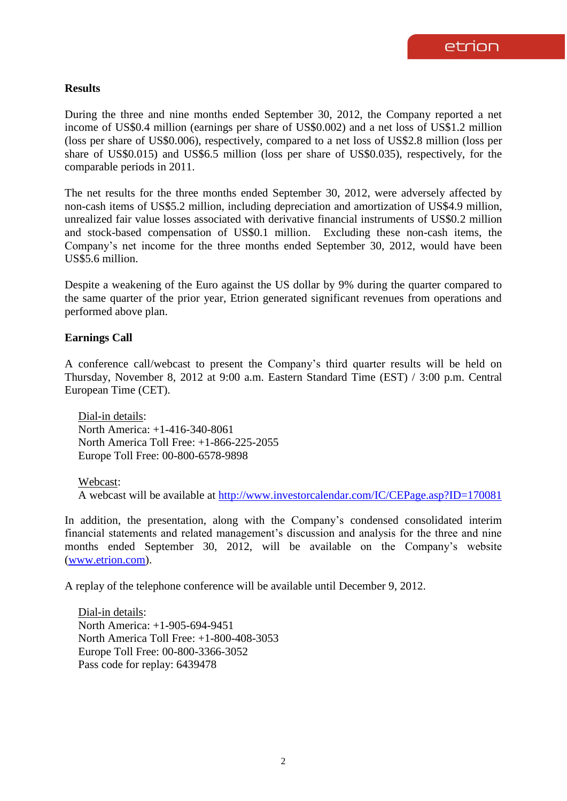## **Results**

During the three and nine months ended September 30, 2012, the Company reported a net income of US\$0.4 million (earnings per share of US\$0.002) and a net loss of US\$1.2 million (loss per share of US\$0.006), respectively, compared to a net loss of US\$2.8 million (loss per share of US\$0.015) and US\$6.5 million (loss per share of US\$0.035), respectively, for the comparable periods in 2011.

The net results for the three months ended September 30, 2012, were adversely affected by non-cash items of US\$5.2 million, including depreciation and amortization of US\$4.9 million, unrealized fair value losses associated with derivative financial instruments of US\$0.2 million and stock-based compensation of US\$0.1 million. Excluding these non-cash items, the Company's net income for the three months ended September 30, 2012, would have been US\$5.6 million.

Despite a weakening of the Euro against the US dollar by 9% during the quarter compared to the same quarter of the prior year, Etrion generated significant revenues from operations and performed above plan.

## **Earnings Call**

A conference call/webcast to present the Company's third quarter results will be held on Thursday, November 8, 2012 at 9:00 a.m. Eastern Standard Time (EST) / 3:00 p.m. Central European Time (CET).

Dial-in details: North America: +1-416-340-8061 North America Toll Free: +1-866-225-2055 Europe Toll Free: 00-800-6578-9898

### Webcast:

A webcast will be available at <http://www.investorcalendar.com/IC/CEPage.asp?ID=170081>

In addition, the presentation, along with the Company's condensed consolidated interim financial statements and related management's discussion and analysis for the three and nine months ended September 30, 2012, will be available on the Company's website [\(www.etrion.com\)](http://www.etrion.com/).

A replay of the telephone conference will be available until December 9, 2012.

Dial-in details: North America: +1-905-694-9451 North America Toll Free: +1-800-408-3053 Europe Toll Free: 00-800-3366-3052 Pass code for replay: 6439478